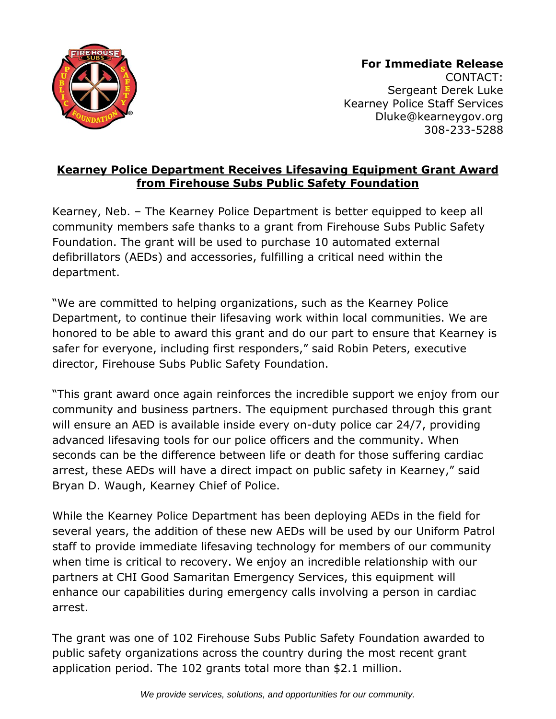

**For Immediate Release** CONTACT: Sergeant Derek Luke Kearney Police Staff Services Dluke@kearneygov.org 308-233-5288

## **Kearney Police Department Receives Lifesaving Equipment Grant Award from Firehouse Subs Public Safety Foundation**

Kearney, Neb. – The Kearney Police Department is better equipped to keep all community members safe thanks to a grant from Firehouse Subs Public Safety Foundation. The grant will be used to purchase 10 automated external defibrillators (AEDs) and accessories, fulfilling a critical need within the department.

"We are committed to helping organizations, such as the Kearney Police Department, to continue their lifesaving work within local communities. We are honored to be able to award this grant and do our part to ensure that Kearney is safer for everyone, including first responders," said Robin Peters, executive director, Firehouse Subs Public Safety Foundation.

"This grant award once again reinforces the incredible support we enjoy from our community and business partners. The equipment purchased through this grant will ensure an AED is available inside every on-duty police car 24/7, providing advanced lifesaving tools for our police officers and the community. When seconds can be the difference between life or death for those suffering cardiac arrest, these AEDs will have a direct impact on public safety in Kearney," said Bryan D. Waugh, Kearney Chief of Police.

While the Kearney Police Department has been deploying AEDs in the field for several years, the addition of these new AEDs will be used by our Uniform Patrol staff to provide immediate lifesaving technology for members of our community when time is critical to recovery. We enjoy an incredible relationship with our partners at CHI Good Samaritan Emergency Services, this equipment will enhance our capabilities during emergency calls involving a person in cardiac arrest.

The grant was one of 102 Firehouse Subs Public Safety Foundation awarded to public safety organizations across the country during the most recent grant application period. The 102 grants total more than \$2.1 million.